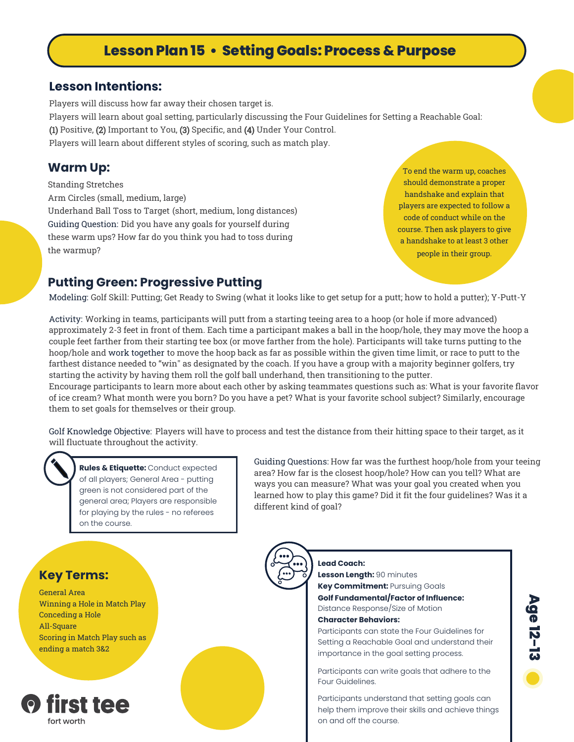## **Lesson Plan 15 • Setting Goals: Process & Purpose**

### **Lesson Intentions:**

Players will discuss how far away their chosen target is. Players will learn about goal setting, particularly discussing the Four Guidelines for Setting a Reachable Goal: (1) Positive, (2) Important to You, (3) Specific, and (4) Under Your Control. Players will learn about different styles of scoring, such as match play.

### **Warm Up:**

Standing Stretches Arm Circles (small, medium, large) Underhand Ball Toss to Target (short, medium, long distances) Guiding Question: Did you have any goals for yourself during these warm ups? How far do you think you had to toss during the warmup?

To end the warm up, coaches should demonstrate a proper handshake and explain that players are expected to follow a code of conduct while on the course. Then ask players to give a handshake to at least 3 other people in their group.

### **Putting Green: Progressive Putting**

Modeling: Golf Skill: Putting; Get Ready to Swing (what it looks like to get setup for a putt; how to hold a putter); Y-Putt-Y

Activity: Working in teams, participants will putt from a starting teeing area to a hoop (or hole if more advanced) approximately 2-3 feet in front of them. Each time a participant makes a ball in the hoop/hole, they may move the hoop a couple feet farther from their starting tee box (or move farther from the hole). Participants will take turns putting to the hoop/hole and work together to move the hoop back as far as possible within the given time limit, or race to putt to the farthest distance needed to "win" as designated by the coach. If you have a group with a majority beginner golfers, try starting the activity by having them roll the golf ball underhand, then transitioning to the putter.

Encourage participants to learn more about each other by asking teammates questions such as: What is your favorite flavor of ice cream? What month were you born? Do you have a pet? What is your favorite school subject? Similarly, encourage them to set goals for themselves or their group.

Golf Knowledge Objective: Players will have to process and test the distance from their hitting space to their target, as it will fluctuate throughout the activity.

**Rules & Etiquette:** Conduct expected of all players; General Area - putting green is not considered part of the general area; Players are responsible for playing by the rules - no referees on the course.

Guiding Questions: How far was the furthest hoop/hole from your teeing area? How far is the closest hoop/hole? How can you tell? What are ways you can measure? What was your goal you created when you learned how to play this game? Did it fit the four guidelines? Was it a different kind of goal?

### **Key Terms:**

General Area Winning a Hole in Match Play Conceding a Hole All-Square Scoring in Match Play such as ending a match 3&2



**Lead Coach: Lesson Length:** 90 minutes **Key Commitment: Pursuing Goals Golf Fundamental/Factor of Influence:** Distance Response/Size of Motion

#### **Character Behaviors:**

Participants can state the Four Guidelines for Setting a Reachable Goal and understand their importance in the goal setting process.

Participants can write goals that adhere to the Four Guidelines.

Participants understand that setting goals can help them improve their skills and achieve things on and off the course.